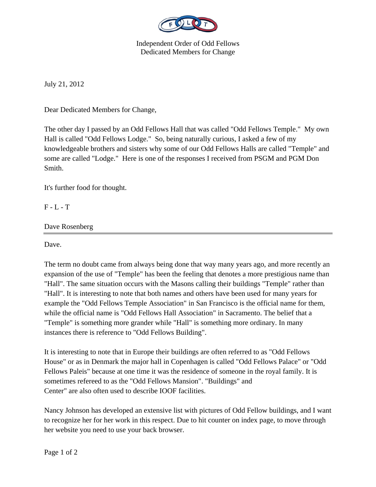

Independent Order of Odd Fellows Dedicated Members for Change

July 21, 2012

Dear Dedicated Members for Change,

The other day I passed by an Odd Fellows Hall that was called "Odd Fellows Temple." My own Hall is called "Odd Fellows Lodge." So, being naturally curious, I asked a few of my knowledgeable brothers and sisters why some of our Odd Fellows Halls are called "Temple" and some are called "Lodge." Here is one of the responses I received from PSGM and PGM Don Smith.

It's further food for thought.

F - L - T

Dave Rosenberg

Dave.

The term no doubt came from always being done that way many years ago, and more recently an expansion of the use of "Temple" has been the feeling that denotes a more prestigious name than "Hall". The same situation occurs with the Masons calling their buildings "Temple" rather than "Hall". It is interesting to note that both names and others have been used for many years for example the "Odd Fellows Temple Association" in San Francisco is the official name for them, while the official name is "Odd Fellows Hall Association" in Sacramento. The belief that a "Temple" is something more grander while "Hall" is something more ordinary. In many instances there is reference to "Odd Fellows Building".

It is interesting to note that in Europe their buildings are often referred to as "Odd Fellows House" or as in Denmark the major hall in Copenhagen is called "Odd Fellows Palace" or "Odd Fellows Paleis" because at one time it was the residence of someone in the royal family. It is sometimes refereed to as the "Odd Fellows Mansion". "Buildings" and Center" are also often used to describe IOOF facilities.

Nancy Johnson has developed an extensive list with pictures of Odd Fellow buildings, and I want to recognize her for her work in this respect. Due to hit counter on index page, to move through her website you need to use your back browser.